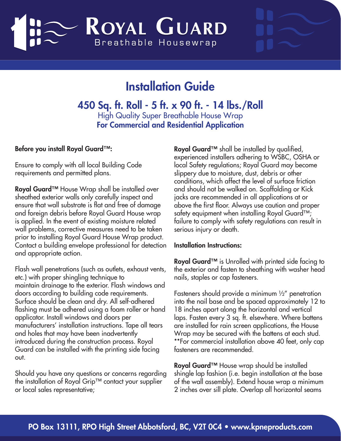# ROYAL GUARD Breathable Housewrap

## Installation Guide

450 Sq. ft. Roll - 5 ft. x 90 ft. - 14 lbs./Roll High Quality Super Breathable House Wrap For Commercial and Residential Application

### Before you install Royal Guard™:

Ensure to comply with all local Building Code requirements and permitted plans.

Royal Guard™ House Wrap shall be installed over sheathed exterior walls only carefully inspect and ensure that wall substrate is flat and free of damage and foreign debris before Royal Guard House wrap is applied. In the event of existing moisture related wall problems, corrective measures need to be taken prior to installing Royal Guard House Wrap product. Contact a building envelope professional for detection and appropriate action.

Flash wall penetrations (such as outlets, exhaust vents, etc.) with proper shingling technique to maintain drainage to the exterior. Flash windows and doors according to building code requirements. Surface should be clean and dry. All self-adhered flashing must be adhered using a foam roller or hand applicator. Install windows and doors per manufacturers' installation instructions. Tape all tears and holes that may have been inadvertently introduced during the construction process. Royal Guard can be installed with the printing side facing out.

Should you have any questions or concerns regarding the installation of Royal Grip™ contact your supplier or local sales representative;

Royal Guard<sup>TM</sup> shall be installed by qualified, experienced installers adhering to WSBC, OSHA or local Safety regulations; Royal Guard may become slippery due to moisture, dust, debris or other conditions, which affect the level of surface friction and should not be walked on. Scaffolding or Kick jacks are recommended in all applications at or above the first floor. Always use caution and proper safety equipment when installing Royal Guard™; failure to comply with safety regulations can result in serious injury or death.

#### Installation Instructions:

Royal Guard™ is Unrolled with printed side facing to the exterior and fasten to sheathing with washer head nails, staples or cap fasteners.

Fasteners should provide a minimum ½" penetration into the nail base and be spaced approximately 12 to 18 inches apart along the horizontal and vertical laps. Fasten every 3 sq. ft. elsewhere. Where battens are installed for rain screen applications, the House Wrap may be secured with the battens at each stud. \*\*For commercial installation above 40 feet, only cap fasteners are recommended.

Royal Guard™ House wrap should be installed shingle lap fashion (i.e. begin installation at the base of the wall assembly). Extend house wrap a minimum 2 inches over sill plate. Overlap all horizontal seams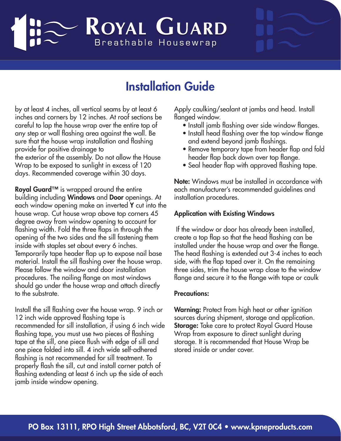# ROYAL GUARD Breathable Housewrap

### Installation Guide

by at least 4 inches, all vertical seams by at least 6 inches and corners by 12 inches. At roof sections be careful to lap the house wrap over the entire top of any step or wall flashing area against the wall. Be sure that the house wrap installation and flashing provide for positive drainage to the exterior of the assembly. Do not allow the House Wrap to be exposed to sunlight in excess of 120 days. Recommended coverage within 30 days.

Royal Guard<sup>™</sup> is wrapped around the entire building including Windows and Door openings. At each window opening make an inverted Y cut into the house wrap. Cut house wrap above top corners 45 degree away from window opening to account for flashing width. Fold the three flaps in through the opening of the two sides and the sill fastening them inside with staples set about every 6 inches. Temporarily tape header flap up to expose nail base material. Install the sill flashing over the house wrap. Please follow the window and door installation procedures. The nailing flange on most windows should go under the house wrap and attach directly to the substrate.

Install the sill flashing over the house wrap. 9 inch or 12 inch wide approved flashing tape is recommended for sill installation, if using 6 inch wide flashing tape, you must use two pieces of flashing tape at the sill, one piece flush with edge of sill and one piece folded into sill. 4 inch wide self-adhered flashing is not recommended for sill treatment. To properly flash the sill, cut and install corner patch of flashing extending at least 6 inch up the side of each jamb inside window opening.

Apply caulking/sealant at jambs and head. Install flanged window.

- Install jamb flashing over side window flanges.
- Install head flashing over the top window flange and extend beyond jamb flashings.
- Remove temporary tape from header flap and fold header flap back down over top flange.
- Seal header flap with approved flashing tape.

Note: Windows must be installed in accordance with each manufacturer's recommended guidelines and installation procedures.

### Application with Existing Windows

 If the window or door has already been installed, create a top flap so that the head flashing can be installed under the house wrap and over the flange. The head flashing is extended out 3-4 inches to each side, with the flap taped over it. On the remaining three sides, trim the house wrap close to the window flange and secure it to the flange with tape or caulk

#### Precautions:

Warning: Protect from high heat or other ignition sources during shipment, storage and application. Storage: Take care to protect Royal Guard House Wrap from exposure to direct sunlight during storage. It is recommended that House Wrap be stored inside or under cover.